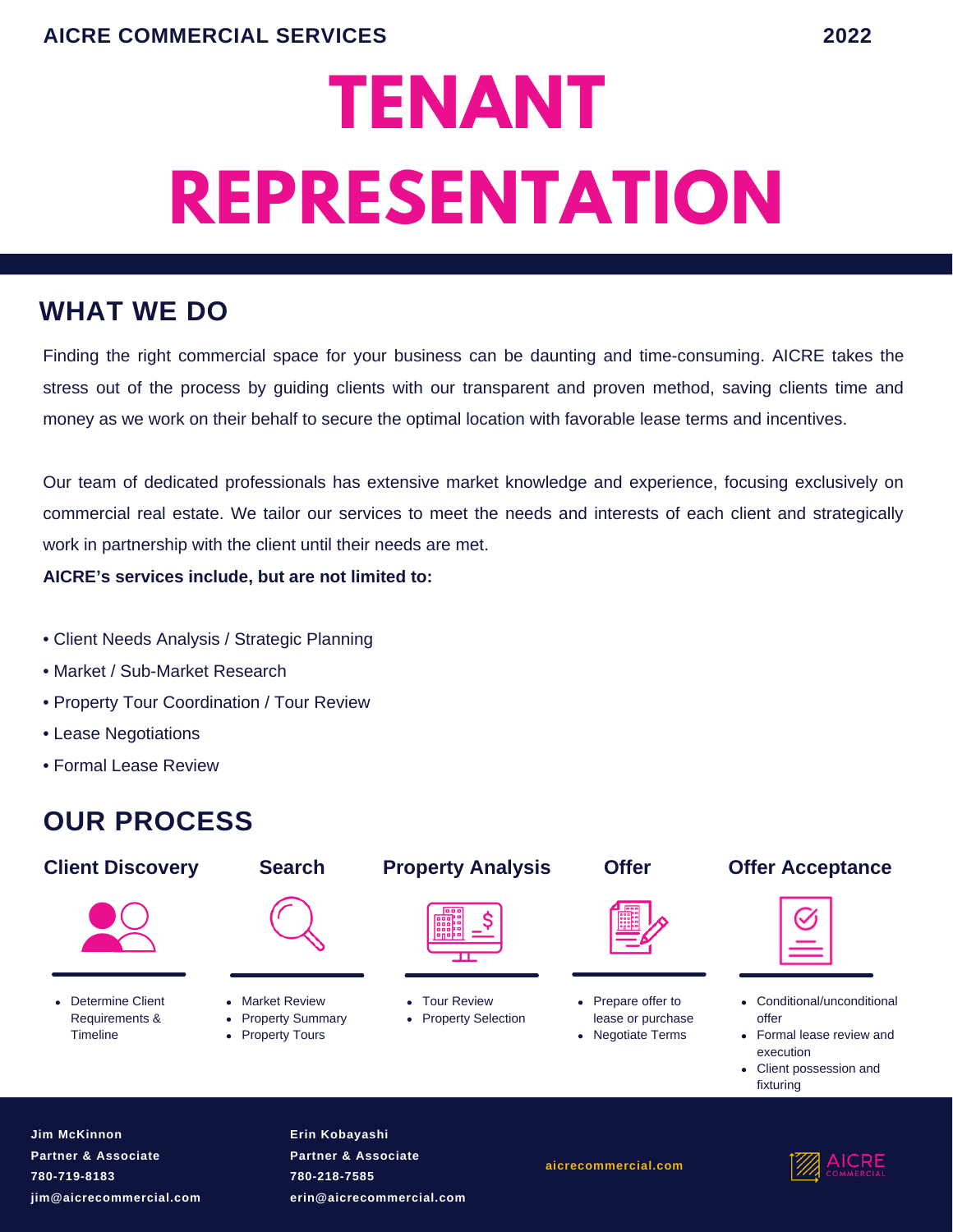# **TENANT REPRESENTATION**

# **WHAT WE DO**

Finding the right commercial space for your business can be daunting and time-consuming. AICRE takes the stress out of the process by guiding clients with our transparent and proven method, saving clients time and money as we work on their behalf to secure the optimal location with favorable lease terms and incentives.

Our team of dedicated professionals has extensive market knowledge and experience, focusing exclusively on commercial real estate. We tailor our services to meet the needs and interests of each client and strategically work in partnership with the client until their needs are met.

**AICRE's services include, but are not limited to:**

- Client Needs Analysis / Strategic Planning
- Market / Sub-Market Research
- Property Tour Coordination / Tour Review
- Lease Negotiations
- Formal Lease Review

# **OUR PROCESS**





- Conditional/unconditional offer
- Formal lease review and execution
- Client possession and fixturing

**Jim McKinnon Partner & Associate 780-719-8183 jim@aicrecommercial.com** **Erin Kobayashi Partner & Associate 780-218-7585 erin@aicrecommercial.com**

**aicrecommercial.com**